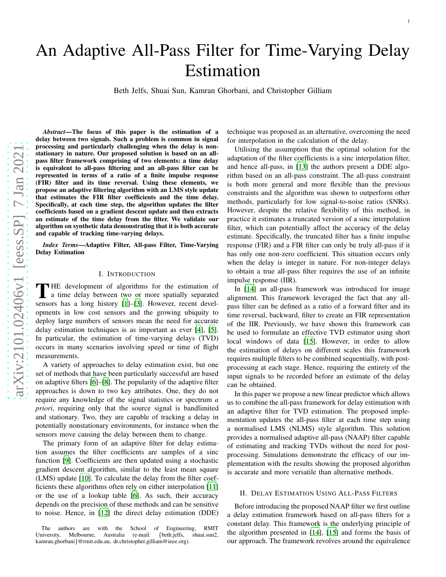# An Adaptive All-Pass Filter for Time-Varying Delay Estimation

Beth Jelfs, Shuai Sun, Kamran Ghorbani, and Christopher Gilliam

*Abstract*—The focus of this paper is the estimation of a delay between two signals. Such a problem is common in signal processing and particularly challenging when the delay is nonstationary in nature. Our proposed solution is based on an allpass filter framework comprising of two elements: a time delay is equivalent to all-pass filtering and an all-pass filter can be represented in terms of a ratio of a finite impulse response (FIR) filter and its time reversal. Using these elements, we propose an adaptive filtering algorithm with an LMS style update that estimates the FIR filter coefficients and the time delay. Specifically, at each time step, the algorithm updates the filter coefficients based on a gradient descent update and then extracts an estimate of the time delay from the filter. We validate our algorithm on synthetic data demonstrating that it is both accurate and capable of tracking time-varying delays.

*Index Terms*—Adaptive Filter, All-pass Filter, Time-Varying Delay Estimation

#### I. INTRODUCTION

THE development of algorithms for the estimation of<br>a time delay between two or more spatially separated<br>separated HE development of algorithms for the estimation of sensors has a long history [\[1](#page-4-0)]–[\[3](#page-4-1)]. However, recent developments in low cost sensors and the growing ubiquity to deploy large numbers of sensors mean the need for accurate delay estimation techniques is as important as ever [\[4\]](#page-4-2), [\[5](#page-4-3)] . In particular, the estimation of time-varying delays (TVD) occurs in many scenarios involving speed or time of flight measurements.

A variety of approaches to delay estimation exist, but one set of methods that have been particularly successful are based on adaptive filters [\[6\]](#page-4-4)–[\[8](#page-4-5)]. The popularity of the adaptive filter approaches is down to two key attributes. One, they do not require any knowledge of the signal statistics or spectrum *a priori*, requiring only that the source signal is bandlimited and stationary. Two, they are capable of tracking a delay in potentially nonstationary environments, for instance when the sensors move causing the delay between them to change.

The primary form of an adaptive filter for delay estimation assumes the filter coefficients are samples of a sinc function [\[9](#page-4-6)]. Coefficients are then updated using a stochastic gradient descent algorithm, similar to the least mean squar e (LMS) update [\[10\]](#page-4-7). To calculate the delay from the filter coefficients these algorithms often rely on either interpolation [\[11\]](#page-4-8) or the use of a lookup table [\[6\]](#page-4-4). As such, their accuracy depends on the precision of these methods and can be sensitiv e to noise. Hence, in [\[12](#page-5-0)] the direct delay estimation (DDE) technique was proposed as an alternative, overcoming the need for interpolation in the calculation of the delay.

Utilising the assumption that the optimal solution for the adaptation of the filter coefficients is a sinc interpolation filter, and hence all-pass, in [\[13\]](#page-5-1) the authors present a DDE algorithm based on an all-pass constraint. The all-pass constraint is both more general and more flexible than the previous constraints and the algorithm was shown to outperform other methods, particularly for low signal-to-noise ratios (SNRs). However, despite the relative flexibility of this method, in practice it estimates a truncated version of a sinc interpolation filter, which can potentially affect the accuracy of the delay estimate. Specifically, the truncated filter has a finite impulse response (FIR) and a FIR filter can only be truly all-pass if it has only one non-zero coefficient. This situation occurs only when the delay is integer in nature. For non-integer delays to obtain a true all-pass filter requires the use of an infinite impulse response (IIR).

In [\[14\]](#page-5-2) an all-pass framework was introduced for image alignment. This framework leveraged the fact that any allpass filter can be defined as a ratio of a forward filter and its time reversal, backward, filter to create an FIR representation of the IIR. Previously, we have shown this framework can be used to formulate an effective TVD estimator using short local windows of data [\[15\]](#page-5-3). However, in order to allow the estimation of delays on different scales this framework requires multiple filters to be combined sequentially, with postprocessing at each stage. Hence, requiring the entirety of the input signals to be recorded before an estimate of the delay can be obtained.

In this paper we propose a new linear predictor which allows us to combine the all-pass framework for delay estimation with an adaptive filter for TVD estimation. The proposed implementation updates the all-pass filter at each time step using a normalised LMS (NLMS) style algorithm. This solution provides a normalised adaptive all-pass (NAAP) filter capable of estimating and tracking TVDs without the need for postprocessing. Simulations demonstrate the efficacy of our implementation with the results showing the proposed algorithm is accurate and more versatile than alternative methods.

# <span id="page-0-0"></span>II. DELAY ESTIMATION USING ALL-PASS FILTERS

Before introducing the proposed NAAP filter we first outline a delay estimation framework based on all-pass filters for a constant delay. This framework is the underlying principle of the algorithm presented in [\[14](#page-5-2)], [\[15\]](#page-5-3) and forms the basis of our approach. The framework revolves around the equivalenc e

The authors are with the School of Engineering, RMIT University, Melbourne, Australia (e-mail: {beth.jelfs, shuai.sun2, kamran.ghorbani }@rmit.edu.au, dr.christopher.gilliam@ieee.org).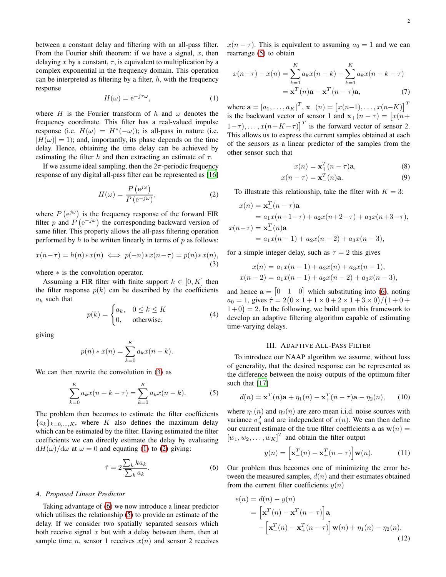between a constant delay and filtering with an all-pass filter. From the Fourier shift theorem: if we have a signal,  $x$ , then delaying x by a constant,  $\tau$ , is equivalent to multiplication by a complex exponential in the frequency domain. This operation can be interpreted as filtering by a filter,  $h$ , with the frequency response

<span id="page-1-1"></span>
$$
H(\omega) = e^{-j\tau\omega},\tag{1}
$$

where H is the Fourier transform of h and  $\omega$  denotes the frequency coordinate. This filter has a real-valued impulse response (i.e.  $H(\omega) = H^*(-\omega)$ ); is all-pass in nature (i.e.  $|H(\omega)| = 1$ ; and, importantly, its phase depends on the time delay. Hence, obtaining the time delay can be achieved by estimating the filter h and then extracting an estimate of  $\tau$ .

If we assume ideal sampling, then the  $2\pi$ -periodic frequency response of any digital all-pass filter can be represented as [\[16\]](#page-5-4)

<span id="page-1-2"></span>
$$
H(\omega) = \frac{P\left(e^{j\omega}\right)}{P\left(e^{-j\omega}\right)},\tag{2}
$$

where  $P(e^{j\omega})$  is the frequency response of the forward FIR filter p and  $P^{'}(e^{-j\omega})$  the corresponding backward version of same filter. This property allows the all-pass filtering operation performed by  $h$  to be written linearly in terms of  $p$  as follows:

<span id="page-1-0"></span>
$$
x(n-\tau) = h(n) * x(n) \iff p(-n) * x(n-\tau) = p(n) * x(n),
$$
\n(3)

where ∗ is the convolution operator.

Assuming a FIR filter with finite support  $k \in [0, K]$  then the filter response  $p(k)$  can be described by the coefficients  $a_k$  such that

$$
p(k) = \begin{cases} a_k, & 0 \le k \le K \\ 0, & \text{otherwise,} \end{cases}
$$
 (4)

giving

$$
p(n) * x(n) = \sum_{k=0}^{K} a_k x(n-k).
$$

We can then rewrite the convolution in  $(3)$  as

<span id="page-1-4"></span>
$$
\sum_{k=0}^{K} a_k x(n+k-\tau) = \sum_{k=0}^{K} a_k x(n-k).
$$
 (5)

The problem then becomes to estimate the filter coefficients  ${a_k}_{k=0,\ldots,K}$ , where K also defines the maximum delay which can be estimated by the filter. Having estimated the filter coefficients we can directly estimate the delay by evaluating  $dH(\omega)/d\omega$  at  $\omega = 0$  and equating [\(1\)](#page-1-1) to [\(2\)](#page-1-2) giving:

<span id="page-1-3"></span>
$$
\hat{\tau} = 2 \frac{\sum_{k} k a_k}{\sum_{k} a_k}.
$$
\n(6)

#### *A. Proposed Linear Predictor*

Taking advantage of [\(6\)](#page-1-3) we now introduce a linear predictor which utilises the relationship [\(5\)](#page-1-4) to provide an estimate of the delay. If we consider two spatially separated sensors which both receive signal  $x$  but with a delay between them, then at sample time *n*, sensor 1 receives  $x(n)$  and sensor 2 receives

 $x(n - \tau)$ . This is equivalent to assuming  $a_0 = 1$  and we can rearrange [\(5\)](#page-1-4) to obtain

$$
x(n-\tau) - x(n) = \sum_{k=1}^{K} a_k x(n-k) - \sum_{k=1}^{K} a_k x(n+k-\tau)
$$
  
=  $\mathbf{x}_-^T(n)\mathbf{a} - \mathbf{x}_+^T(n-\tau)\mathbf{a}$ , (7)

where  $\mathbf{a} = [a_1, \dots, a_K]^T$ ,  $\mathbf{x}_-(n) = [x(n-1), \dots, x(n-K)]^T$ is the backward vector of sensor 1 and  $\mathbf{x}_{+}(n-\tau) = [x(n+\tau)]$  $(1-\tau)$ , ...,  $x(n+K-\tau)$ <sup>T</sup> is the forward vector of sensor 2. This allows us to express the current samples obtained at each of the sensors as a linear predictor of the samples from the other sensor such that

$$
x(n) = \mathbf{x}_+^T (n - \tau) \mathbf{a},\tag{8}
$$

$$
x(n-\tau) = \mathbf{x}_-^T(n)\mathbf{a}.\tag{9}
$$

To illustrate this relationship, take the filter with  $K = 3$ :

$$
x(n) = \mathbf{x}_+^T (n - \tau) \mathbf{a}
$$
  
=  $a_1 x(n+1-\tau) + a_2 x(n+2-\tau) + a_3 x(n+3-\tau)$ ,  

$$
x(n-\tau) = \mathbf{x}_-^T (n) \mathbf{a}
$$
  
=  $a_1 x(n-1) + a_2 x(n-2) + a_3 x(n-3)$ ,

for a simple integer delay, such as  $\tau = 2$  this gives

$$
x(n) = a_1x(n-1) + a_2x(n) + a_3x(n+1),
$$
  

$$
x(n-2) = a_1x(n-1) + a_2x(n-2) + a_3x(n-3),
$$

and hence  $\mathbf{a} = \begin{bmatrix} 0 & 1 & 0 \end{bmatrix}$  which substituting into [\(6\)](#page-1-3), noting  $a_0 = 1$ , gives  $\hat{\tau} = 2(0 \times 1 + 1 \times 0 + 2 \times 1 + 3 \times 0)/(1 + 0 +$  $(1+0) = 2$ . In the following, we build upon this framework to develop an adaptive filtering algorithm capable of estimating time-varying delays.

#### III. ADAPTIVE ALL-PASS FILTER

To introduce our NAAP algorithm we assume, without loss of generality, that the desired response can be represented as the difference between the noisy outputs of the optimum filter such that [\[17\]](#page-5-5)

$$
d(n) = \mathbf{x}_{-}^{T}(n)\mathbf{a} + \eta_{1}(n) - \mathbf{x}_{+}^{T}(n-\tau)\mathbf{a} - \eta_{2}(n), \qquad (10)
$$

where  $\eta_1(n)$  and  $\eta_2(n)$  are zero mean i.i.d. noise sources with variance  $\sigma_{\eta}^2$  and are independent of  $x(n)$ . We can then define our current estimate of the true filter coefficients a as  $w(n) =$  $[w_1, w_2, \dots, w_K]^T$  and obtain the filter output

$$
y(n) = \left[\mathbf{x}_-^T(n) - \mathbf{x}_+^T(n-\tau)\right] \mathbf{w}(n).
$$
 (11)

Our problem thus becomes one of minimizing the error between the measured samples,  $d(n)$  and their estimates obtained from the current filter coefficients  $y(n)$ 

$$
e(n) = d(n) - y(n)
$$
  
= 
$$
\left[\mathbf{x}_-^T(n) - \mathbf{x}_+^T(n-\tau)\right] \mathbf{a}
$$
  
- 
$$
\left[\mathbf{x}_-^T(n) - \mathbf{x}_+^T(n-\tau)\right] \mathbf{w}(n) + \eta_1(n) - \eta_2(n).
$$
 (12)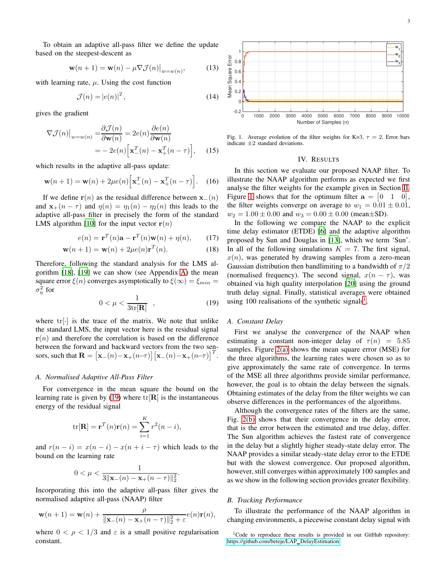To obtain an adaptive all-pass filter we define the update based on the steepest-descent as

$$
\mathbf{w}(n+1) = \mathbf{w}(n) - \mu \nabla \mathcal{J}(n)|_{w=w(n)},
$$
 (13)

with learning rate,  $\mu$ . Using the cost function

$$
\mathcal{J}(n) = |e(n)|^2, \tag{14}
$$

gives the gradient

$$
\nabla \mathcal{J}(n)|_{w=w(n)} = \frac{\partial \mathcal{J}(n)}{\partial \mathbf{w}(n)} = 2e(n)\frac{\partial e(n)}{\partial \mathbf{w}(n)}
$$

$$
= -2e(n)\Big[\mathbf{x}_-^T(n) - \mathbf{x}_+^T(n-\tau)\Big], \qquad (15)
$$

which results in the adaptive all-pass update:

$$
\mathbf{w}(n+1) = \mathbf{w}(n) + 2\mu e(n) \Big[ \mathbf{x}_-^T(n) - \mathbf{x}_+^T(n-\tau) \Big]. \quad (16)
$$

If we define  $r(n)$  as the residual difference between  $x_-(n)$ and  $\mathbf{x}_{+}(n-\tau)$  and  $\eta(n) = \eta_1(n) - \eta_2(n)$  this leads to the adaptive all-pass filter in precisely the form of the standard LMS algorithm [\[10\]](#page-4-7) for the input vector  $r(n)$ 

$$
e(n) = \mathbf{r}^T(n)\mathbf{a} - \mathbf{r}^T(n)\mathbf{w}(n) + \eta(n), \qquad (17)
$$

$$
\mathbf{w}(n+1) = \mathbf{w}(n) + 2\mu e(n)\mathbf{r}^T(n).
$$
 (18)

Therefore, following the standard analysis for the LMS algorithm [\[18\]](#page-5-6), [\[19\]](#page-5-7) we can show (see Appendix [A\)](#page-4-9) the mean square error  $\xi(n)$  converges asymptotically to  $\xi(\infty) = \xi_{min} =$  $\sigma_{\eta}^2$  for

<span id="page-2-0"></span>
$$
0 < \mu < \frac{1}{3\text{tr}[\mathbf{R}]} \quad , \tag{19}
$$

where  $tr[\cdot]$  is the trace of the matrix. We note that unlike the standard LMS, the input vector here is the residual signal  $r(n)$  and therefore the correlation is based on the difference between the forward and backward vectors from the two sensors, such that  $\mathbf{R} = \begin{bmatrix} \mathbf{x}_{-}(n) - \mathbf{x}_{+}(n-\tau) \end{bmatrix} \begin{bmatrix} \mathbf{x}_{-}(n) - \mathbf{x}_{+}(n-\tau) \end{bmatrix}^T$ .

# *A. Normalised Adaptive All-Pass Filter*

For convergence in the mean square the bound on the learning rate is given by [\(19\)](#page-2-0) where  $tr[\mathbf{R}]$  is the instantaneous energy of the residual signal

$$
\mathrm{tr}[\mathbf{R}] = \mathbf{r}^T(n)\mathbf{r}(n) = \sum_{i=1}^K r^2(n-i),
$$

and  $r(n - i) = x(n - i) - x(n + i - \tau)$  which leads to the bound on the learning rate

$$
0 < \mu < \frac{1}{3\|\mathbf{x}_-(n) - \mathbf{x}_+(n-\tau)\|_2^2}.
$$

Incorporating this into the adaptive all-pass filter gives the normalised adaptive all-pass (NAAP) filter

$$
\mathbf{w}(n+1) = \mathbf{w}(n) + \frac{\rho}{\|\mathbf{x}_-(n) - \mathbf{x}_+(n-\tau)\|_2^2 + \varepsilon} e(n)\mathbf{r}(n),
$$

where  $0 < \rho < 1/3$  and  $\varepsilon$  is a small positive regularisation constant.



<span id="page-2-1"></span>Fig. 1. Average evolution of the filter weights for K=3,  $\tau = 2$ . Error bars indicate ±2 standard deviations.

#### IV. RESULTS

In this section we evaluate our proposed NAAP filter. To illustrate the NAAP algorithm performs as expected we first analyse the filter weights for the example given in Section [II.](#page-0-0) Figure [1](#page-2-1) shows that for the optimum filter  $\mathbf{a} = \begin{bmatrix} 0 & 1 & 0 \end{bmatrix}$ , the filter weights converge on average to  $w_1 = 0.01 \pm 0.01$ ,  $w_2 = 1.00 \pm 0.00$  and  $w_3 = 0.00 \pm 0.00$  (mean $\pm$ SD).

In the following we compare the NAAP to the explicit time delay estimator (ETDE) [\[6\]](#page-4-4) and the adaptive algorithm proposed by Sun and Douglas in [\[13](#page-5-1)], which we term 'Sun'. In all of the following simulations  $K = 7$ . The first signal,  $x(n)$ , was generated by drawing samples from a zero-mean Gaussian distribution then bandlimiting to a bandwidth of  $\pi/2$ (normalised frequency). The second signal,  $x(n - \tau)$ , was obtained via high quality interpolation [\[20\]](#page-5-8) using the ground truth delay signal. Finally, statistical averages were obtained using [1](#page-2-2)00 realisations of the synthetic signals<sup>1</sup>.

# *A. Constant Delay*

First we analyse the convergence of the NAAP when estimating a constant non-integer delay of  $\tau(n) = 5.85$ samples. Figure [2\(a\)](#page-3-0) shows the mean square error (MSE) for the three algorithms, the learning rates were chosen so as to give approximately the same rate of convergence. In terms of the MSE all three algorithms provide similar performance, however, the goal is to obtain the delay between the signals. Obtaining estimates of the delay from the filter weights we can observe differences in the performances of the algorithms.

Although the convergence rates of the filters are the same, Fig. [2\(b\)](#page-3-1) shows that their convergence in the delay error, that is the error between the estimated and true delay, differ. The Sun algorithm achieves the fastest rate of convergence in the delay but a slightly higher steady-state delay error. The NAAP provides a similar steady-state delay error to the ETDE but with the slowest convergence. Our proposed algorithm, however, still converges within approximately 100 samples and as we show in the following section provides greater flexibility.

### *B. Tracking Performance*

To illustrate the performance of the NAAP algorithm in changing environments, a piecewise constant delay signal with

<span id="page-2-2"></span><sup>&</sup>lt;sup>1</sup>Code to reproduce these results is provided in our GitHub repository: [https://github.com/beteje/LAP](https://github.com/beteje/LAP_DelayEstimation) DelayEstimation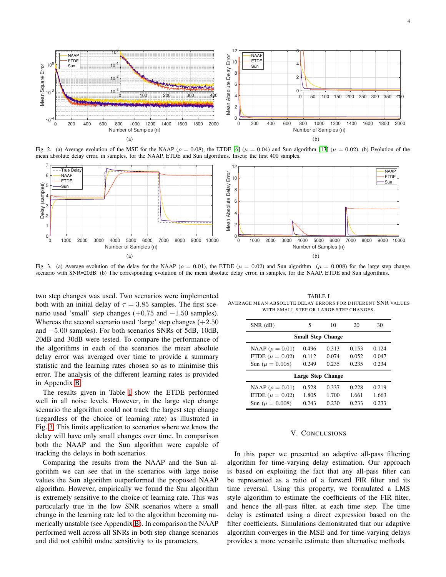<span id="page-3-1"></span>

4

<span id="page-3-0"></span>

Fig. 2. (a) Average evolution of the MSE for the NAAP ( $\rho = 0.08$ ), the ETDE [\[6](#page-4-4)] ( $\mu = 0.04$ ) and Sun algorithm [\[13](#page-5-1)] ( $\mu = 0.02$ ). (b) Evolution of the mean absolute delay error, in samples, for the NAAP, ETDE and Sun algorithms. Insets: the first 400 samples.



<span id="page-3-3"></span>Fig. 3. (a) Average evolution of the delay for the NAAP ( $\rho = 0.01$ ), the ETDE ( $\mu = 0.02$ ) and Sun algorithm ( $\mu = 0.008$ ) for the large step change scenario with SNR=20dB. (b) The corresponding evolution of the mean absolute delay error, in samples, for the NAAP, ETDE and Sun algorithms.

two step changes was used. Two scenarios were implemented both with an initial delay of  $\tau = 3.85$  samples. The first scenario used 'small' step changes  $(+0.75$  and  $-1.50$  samples). Whereas the second scenario used 'large' step changes  $(+2.50)$ and −5.00 samples). For both scenarios SNRs of 5dB, 10dB, 20dB and 30dB were tested. To compare the performance of the algorithms in each of the scenarios the mean absolute delay error was averaged over time to provide a summary statistic and the learning rates chosen so as to minimise this error. The analysis of the different learning rates is provided in Appendix [B.](#page-4-10)

The results given in Table [I](#page-3-2) show the ETDE performed well in all noise levels. However, in the large step change scenario the algorithm could not track the largest step change (regardless of the choice of learning rate) as illustrated in Fig. [3.](#page-3-3) This limits application to scenarios where we know the delay will have only small changes over time. In comparison both the NAAP and the Sun algorithm were capable of tracking the delays in both scenarios.

Comparing the results from the NAAP and the Sun algorithm we can see that in the scenarios with large noise values the Sun algorithm outperformed the proposed NAAP algorithm. However, empirically we found the Sun algorithm is extremely sensitive to the choice of learning rate. This was particularly true in the low SNR scenarios where a small change in the learning rate led to the algorithm becoming numerically unstable (see Appendix [B\)](#page-4-10). In comparison the NAAP performed well across all SNRs in both step change scenarios and did not exhibit undue sensitivity to its parameters.

<span id="page-3-2"></span>TABLE I AVERAGE MEAN ABSOLUTE DELAY ERRORS FOR DIFFERENT SNR VALUES WITH SMALL STEP OR LARGE STEP CHANGES.

| $SNR$ ( $dB$ )           | 5     | 10    | 20    | 30    |
|--------------------------|-------|-------|-------|-------|
| <b>Small Step Change</b> |       |       |       |       |
| NAAP ( $\rho = 0.01$ )   | 0.496 | 0.313 | 0.153 | 0.124 |
| ETDE ( $\mu = 0.02$ )    | 0.112 | 0.074 | 0.052 | 0.047 |
| Sun ( $\mu = 0.008$ )    | 0.249 | 0.235 | 0.235 | 0.234 |
| <b>Large Step Change</b> |       |       |       |       |
| NAAP ( $\rho = 0.01$ )   | 0.528 | 0.337 | 0.228 | 0.219 |
| ETDE ( $\mu = 0.02$ )    | 1.805 | 1.700 | 1.661 | 1.663 |
| Sun ( $\mu = 0.008$ )    | 0.243 | 0.230 | 0.233 | 0.233 |
|                          |       |       |       |       |

# V. CONCLUSIONS

In this paper we presented an adaptive all-pass filtering algorithm for time-varying delay estimation. Our approach is based on exploiting the fact that any all-pass filter can be represented as a ratio of a forward FIR filter and its time reversal. Using this property, we formulated a LMS style algorithm to estimate the coefficients of the FIR filter, and hence the all-pass filter, at each time step. The time delay is estimated using a direct expression based on the filter coefficients. Simulations demonstrated that our adaptive algorithm converges in the MSE and for time-varying delays provides a more versatile estimate than alternative methods.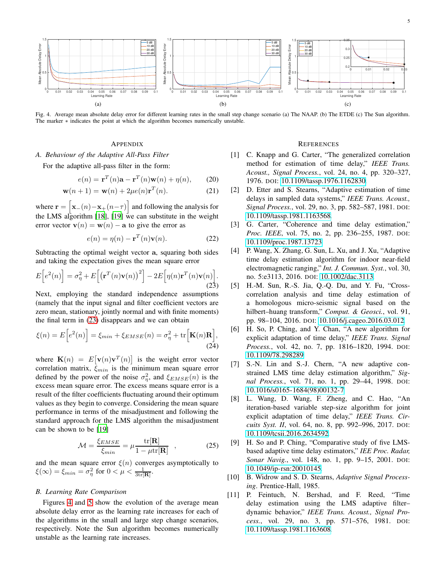

<span id="page-4-12"></span>Fig. 4. Average mean absolute delay error for different learning rates in the small step change scenario (a) The NAAP. (b) The ETDE (c) The Sun algorithm. The marker ∗ indicates the point at which the algorithm becomes numerically unstable.

# **APPENDIX**

<span id="page-4-9"></span>*A. Behaviour of the Adaptive All-Pass Filter*

For the adaptive all-pass filter in the form:

$$
e(n) = \mathbf{r}^T(n)\mathbf{a} - \mathbf{r}^T(n)\mathbf{w}(n) + \eta(n), \qquad (20)
$$

$$
\mathbf{w}(n+1) = \mathbf{w}(n) + 2\mu e(n)\mathbf{r}^T(n).
$$
 (21)

where  $\mathbf{r} = \begin{bmatrix} \mathbf{x}_{-}(n) - \mathbf{x}_{+}(n-\tau) \end{bmatrix}$  and following the analysis for the LMS algorithm [\[18\]](#page-5-6), [\[19](#page-5-7)] we can substitute in the weight error vector  $\mathbf{v}(n) = \mathbf{w}(n) - \mathbf{a}$  to give the error as

$$
e(n) = \eta(n) - \mathbf{r}^T(n)\mathbf{v}(n).
$$
 (22)

Subtracting the optimal weight vector a, squaring both sides and taking the expectation gives the mean square error

<span id="page-4-11"></span>
$$
E\left[e^{2}(n)\right] = \sigma_{\eta}^{2} + E\left[\left(\mathbf{r}^{T}(n)\mathbf{v}(n)\right)^{2}\right] - 2E\left[\eta(n)\mathbf{r}^{T}(n)\mathbf{v}(n)\right].
$$
\n(23)

Next, employing the standard independence assumptions (namely that the input signal and filter coefficient vectors are zero mean, stationary, jointly normal and with finite moments) the final term in [\(23\)](#page-4-11) disappears and we can obtain

$$
\xi(n) = E\left[e^2(n)\right] = \xi_{min} + \xi_{EMSE}(n) = \sigma_\eta^2 + \text{tr}\left[\mathbf{K}(n)\mathbf{R}\right],\tag{24}
$$

where  $\mathbf{K}(n) = E[\mathbf{v}(n)\mathbf{v}^T(n)]$  is the weight error vector correlation matrix,  $\xi_{min}$  is the minimum mean square error defined by the power of the noise  $\sigma_{\eta}^2$ , and  $\xi_{EMSE}(n)$  is the excess mean square error. The excess means square error is a result of the filter coefficients fluctuating around their optimum values as they begin to converge. Considering the mean square performance in terms of the misadjustment and following the standard approach for the LMS algorithm the misadjustment can be shown to be [\[19\]](#page-5-7)

$$
\mathcal{M} = \frac{\xi_{EMSE}}{\xi_{min}} = \mu \frac{\text{tr}[\mathbf{R}]}{1 - \mu \text{tr}[\mathbf{R}]} \quad , \tag{25}
$$

and the mean square error  $\xi(n)$  converges asymptotically to  $\xi(\infty) = \xi_{min} = \sigma_{\eta}^2$  for  $0 < \mu < \frac{1}{3 \text{tr}[\mathbf{R}]}$ .

# <span id="page-4-10"></span>*B. Learning Rate Comparison*

Figures [4](#page-4-12) and [5](#page-5-9) show the evolution of the average mean absolute delay error as the learning rate increases for each of the algorithms in the small and large step change scenarios, respectively. Note the Sun algorithm becomes numerically unstable as the learning rate increases.

#### **REFERENCES**

- <span id="page-4-0"></span>[1] C. Knapp and G. Carter, "The generalized correlation method for estimation of time delay," *IEEE Trans. Acoust., Signal Process.*, vol. 24, no. 4, pp. 320–327, 1976. DOI: [10.1109/tassp.1976.1162830.](https://doi.org/10.1109/tassp.1976.1162830)
- [2] D. Etter and S. Stearns, "Adaptive estimation of time delays in sampled data systems," *IEEE Trans. Acoust., Signal Process.*, vol. 29, no. 3, pp. 582–587, 1981. DOI: [10.1109/tassp.1981.1163568.](https://doi.org/10.1109/tassp.1981.1163568)
- <span id="page-4-1"></span>[3] G. Carter, "Coherence and time delay estimation," *Proc. IEEE*, vol. 75, no. 2, pp. 236–255, 1987. DOI: [10.1109/proc.1987.13723.](https://doi.org/10.1109/proc.1987.13723)
- <span id="page-4-2"></span>[4] P. Wang, X. Zhang, G. Sun, L. Xu, and J. Xu, "Adaptive time delay estimation algorithm for indoor near-field electromagnetic ranging," *Int. J. Commun. Syst.*, vol. 30, no. 5:e3113, 2016. DOI: [10.1002/dac.3113.](https://doi.org/10.1002/dac.3113)
- <span id="page-4-3"></span>[5] H.-M. Sun, R.-S. Jia, Q.-Q. Du, and Y. Fu, "Crosscorrelation analysis and time delay estimation of a homologous micro-seismic signal based on the hilbert–huang transform," *Comput. & Geosci.*, vol. 91, pp. 98–104, 2016. DOI: [10.1016/j.cageo.2016.03.012.](https://doi.org/10.1016/j.cageo.2016.03.012)
- <span id="page-4-4"></span>[6] H. So, P. Ching, and Y. Chan, "A new algorithm for explicit adaptation of time delay," *IEEE Trans. Signal Process.*, vol. 42, no. 7, pp. 1816–1820, 1994. DOI: [10.1109/78.298289.](https://doi.org/10.1109/78.298289)
- [7] S.-N. Lin and S.-J. Chern, "A new adaptive constrained LMS time delay estimation algorithm," *Signal Process.*, vol. 71, no. 1, pp. 29–44, 1998. DOI: [10.1016/s0165-1684\(98\)00132-7.](https://doi.org/10.1016/s0165-1684(98)00132-7)
- <span id="page-4-5"></span>[8] L. Wang, D. Wang, F. Zheng, and C. Hao, "An iteration-based variable step-size algorithm for joint explicit adaptation of time delay," *IEEE Trans. Circuits Syst. II*, vol. 64, no. 8, pp. 992–996, 2017. DOI: [10.1109/tcsii.2016.2634592.](https://doi.org/10.1109/tcsii.2016.2634592)
- <span id="page-4-6"></span>[9] H. So and P. Ching, "Comparative study of five LMSbased adaptive time delay estimators," *IEE Proc. Radar, Sonar Navig.*, vol. 148, no. 1, pp. 9–15, 2001. DOI: [10.1049/ip-rsn:20010145.](https://doi.org/10.1049/ip-rsn:20010145)
- <span id="page-4-7"></span>[10] B. Widrow and S. D. Stearns, *Adaptive Signal Processing*. Prentice-Hall, 1985.
- <span id="page-4-8"></span>[11] P. Feintuch, N. Bershad, and F. Reed, "Time delay estimation using the LMS adaptive filter– dynamic behavior," *IEEE Trans. Acoust., Signal Process.*, vol. 29, no. 3, pp. 571–576, 1981. DOI: [10.1109/tassp.1981.1163608.](https://doi.org/10.1109/tassp.1981.1163608)